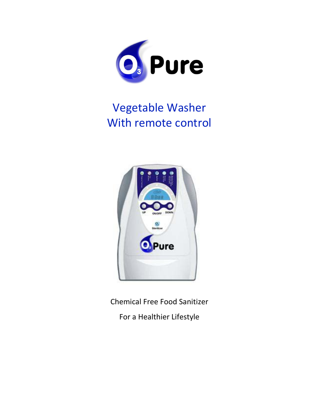

# Vegetable Washer With remote control



Chemical Free Food Sanitizer For a Healthier Lifestyle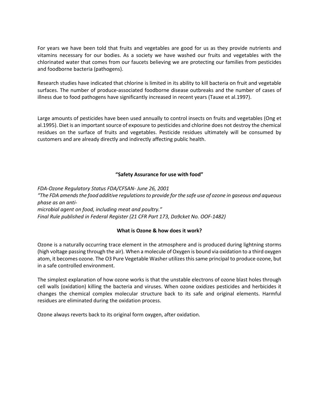For years we have been told that fruits and vegetables are good for us as they provide nutrients and vitamins necessary for our bodies. As a society we have washed our fruits and vegetables with the chlorinated water that comes from our faucets believing we are protecting our families from pesticides and foodborne bacteria (pathogens).

Research studies have indicated that chlorine is limited in its ability to kill bacteria on fruit and vegetable surfaces. The number of produce-associated foodborne disease outbreaks and the number of cases of illness due to food pathogens have significantly increased in recent years (Tauxe et al.1997).

Large amounts of pesticides have been used annually to control insects on fruits and vegetables (Ong et al.1995). Diet is an important source of exposure to pesticides and chlorine does not destroy the chemical residues on the surface of fruits and vegetables. Pesticide residues ultimately will be consumed by customers and are already directly and indirectly affecting public health.

# **"Safety Assurance for use with food"**

*FDA-Ozone Regulatory Status FDA/CFSAN- June 26, 2001 "The FDA amends the food additive regulations to provide for the safe use of ozone in gaseous and aqueous phase as an antimicrobial agent on food, including meat and poultry." Final Rule published in Federal Register (21 CFR Part 173, Do9cket No. OOF-1482)*

# **What is Ozone & how does it work?**

Ozone is a naturally occurring trace element in the atmosphere and is produced during lightning storms (high voltage passing through the air). When a molecule of Oxygen is bound via oxidation to a third oxygen atom, it becomes ozone. The O3 Pure Vegetable Washer utilizes this same principal to produce ozone, but in a safe controlled environment.

The simplest explanation of how ozone works is that the unstable electrons of ozone blast holes through cell walls (oxidation) killing the bacteria and viruses. When ozone oxidizes pesticides and herbicides it changes the chemical complex molecular structure back to its safe and original elements. Harmful residues are eliminated during the oxidation process.

Ozone always reverts back to its original form oxygen, after oxidation.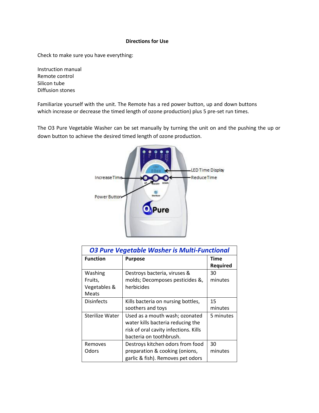# **Directions for Use**

Check to make sure you have everything:

Instruction manual Remote control Silicon tube Diffusion stones

Familiarize yourself with the unit. The Remote has a red power button, up and down buttons which increase or decrease the timed length of ozone production) plus 5 pre-set run times.

The O3 Pure Vegetable Washer can be set manually by turning the unit on and the pushing the up or down button to achieve the desired timed length of ozone production.



| <b>03 Pure Vegetable Washer is Multi-Functional</b> |                                                                                                                                         |                         |
|-----------------------------------------------------|-----------------------------------------------------------------------------------------------------------------------------------------|-------------------------|
| <b>Function</b>                                     | <b>Purpose</b>                                                                                                                          | Time<br><b>Required</b> |
| Washing<br>Fruits,<br>Vegetables &<br>Meats         | Destroys bacteria, viruses &<br>molds; Decomposes pesticides &,<br>herbicides                                                           | 30<br>minutes           |
| <b>Disinfects</b>                                   | Kills bacteria on nursing bottles,<br>soothers and toys                                                                                 | 15<br>minutes           |
| Sterilize Water                                     | Used as a mouth wash; ozonated<br>water kills bacteria reducing the<br>risk of oral cavity infections. Kills<br>bacteria on toothbrush. | 5 minutes               |
| Removes<br>Odors                                    | Destroys kitchen odors from food<br>preparation & cooking (onions,<br>garlic & fish). Removes pet odors                                 | 30<br>minutes           |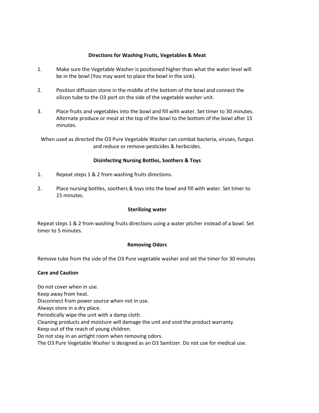## **Directions for Washing Fruits, Vegetables & Meat**

- 1. Make sure the Vegetable Washer is positioned higher than what the water level will be in the bowl (You may want to place the bowl in the sink).
- 2. Position diffusion stone in the middle of the bottom of the bowl and connect the silicon tube to the O3 port on the side of the vegetable washer unit.
- 3. Place fruits and vegetables into the bowl and fill with water. Set timer to 30 minutes. Alternate produce or meat at the top of the bowl to the bottom of the bowl after 15 minutes.

When used as directed the O3 Pure Vegetable Washer can combat bacteria, viruses, fungus and reduce or remove pesticides & herbicides.

## **Disinfecting Nursing Bottles, Soothers & Toys**

- 1. Repeat steps 1 & 2 from washing fruits directions.
- 2. Place nursing bottles, soothers & toys into the bowl and fill with water. Set timer to 15 minutes.

### **Sterilizing water**

Repeat steps 1 & 2 from washing fruits directions using a water pitcher instead of a bowl. Set timer to 5 minutes.

### **Removing Odors**

Remove tube from the side of the O3 Pure vegetable washer and set the timer for 30 minutes

# **Care and Caution**

Do not cover when in use.

Keep away from heat.

Disconnect from power source when not in use.

Always store in a dry place.

Periodically wipe the unit with a damp cloth.

Cleaning products and moisture will damage the unit and void the product warranty.

Keep out of the reach of young children.

Do not stay in an airtight room when removing odors.

The O3 Pure Vegetable Washer is designed as an O3 Sanitizer. Do not use for medical use.